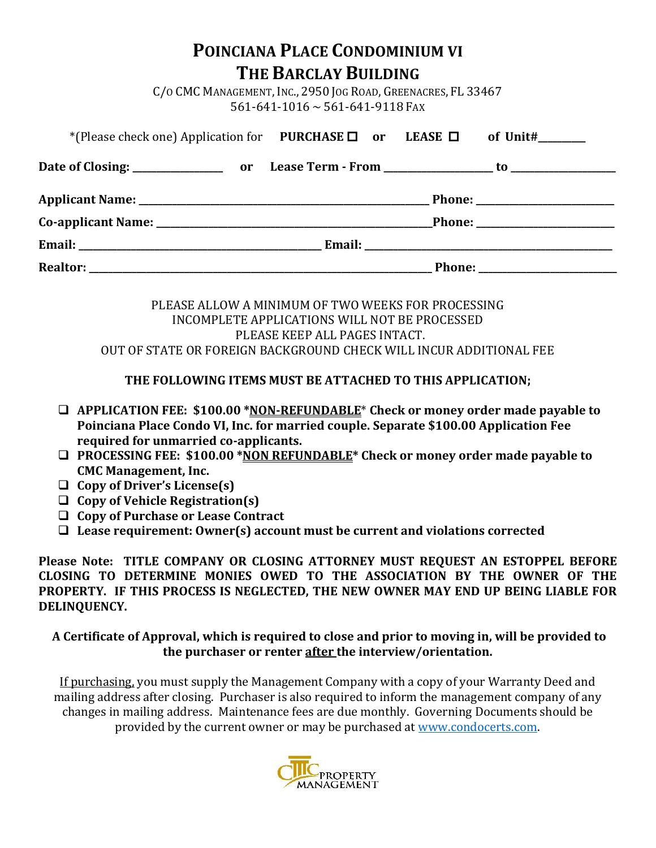# **POINCIANA PLACE CONDOMINIUM VI THE BARCLAY BUILDING**

C/O CMC MANAGEMENT, INC., 2950 JOG ROAD, GREENACRES, FL 33467  $561-641-1016 \approx 561-641-9118$  Fax

| *(Please check one) Application for PURCHASE $\Box$ or LEASE $\Box$ |  |  | of Unit#_______ |
|---------------------------------------------------------------------|--|--|-----------------|
|                                                                     |  |  |                 |
|                                                                     |  |  |                 |
|                                                                     |  |  |                 |
|                                                                     |  |  |                 |
|                                                                     |  |  |                 |

#### PLEASE ALLOW A MINIMUM OF TWO WEEKS FOR PROCESSING INCOMPLETE APPLICATIONS WILL NOT BE PROCESSED PLEASE KEEP ALL PAGES INTACT. OUT OF STATE OR FOREIGN BACKGROUND CHECK WILL INCUR ADDITIONAL FEE

## **THE FOLLOWING ITEMS MUST BE ATTACHED TO THIS APPLICATION;**

- **APPLICATION FEE: \$100.00 \*NON-REFUNDABLE**\* **Check or money order made payable to Poinciana Place Condo VI, Inc. for married couple. Separate \$100.00 Application Fee required for unmarried co-applicants.**
- **PROCESSING FEE: \$100.00 \*NON REFUNDABLE\* Check or money order made payable to CMC Management, Inc.**
- **Copy of Driver's License(s)**
- **Copy of Vehicle Registration(s)**
- **Copy of Purchase or Lease Contract**
- **Lease requirement: Owner(s) account must be current and violations corrected**

**Please Note: TITLE COMPANY OR CLOSING ATTORNEY MUST REQUEST AN ESTOPPEL BEFORE CLOSING TO DETERMINE MONIES OWED TO THE ASSOCIATION BY THE OWNER OF THE PROPERTY. IF THIS PROCESS IS NEGLECTED, THE NEW OWNER MAY END UP BEING LIABLE FOR DELINQUENCY.**

**A Certificate of Approval, which is required to close and prior to moving in, will be provided to the purchaser or renter after the interview/orientation.**

If purchasing, you must supply the Management Company with a copy of your Warranty Deed and mailing address after closing. Purchaser is also required to inform the management company of any changes in mailing address. Maintenance fees are due monthly. Governing Documents should be provided by the current owner or may be purchased at [www.condocerts.com.](http://www.condocerts.com/)

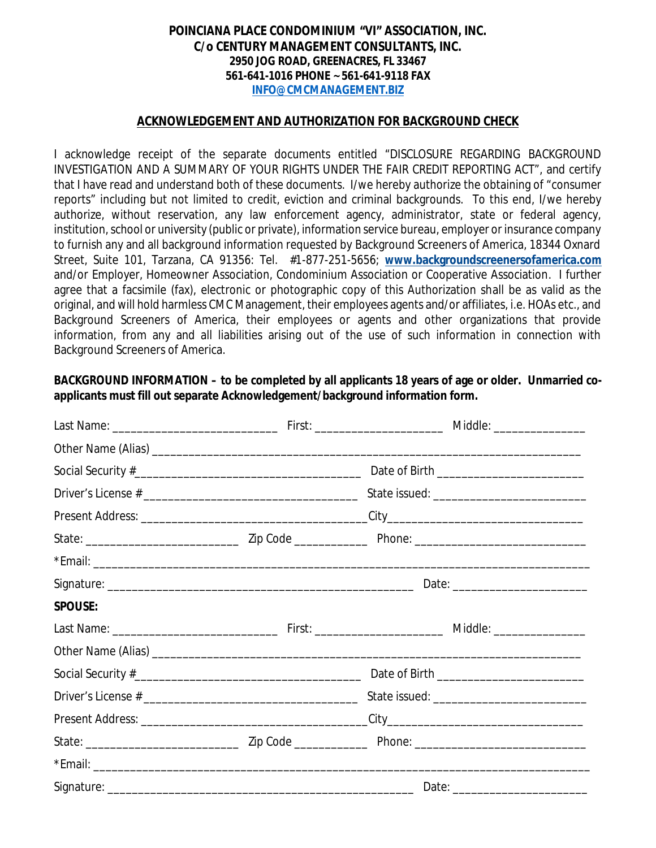#### POINCIANA PIACE CONDOMINIUM "VI" ASSOCIATION, INC. C/o CENTURY MANAGEMENT CONSULTANTS, INC. 2950 JOG ROAD, GREENACRES, FL 33467 561-641-1016 PHONE ~ 561-641-9118 FAX **INFO@CMCMANAGEMENT.BIZ**

#### **ACKNOWLEDGEMENT AND AUTHORIZATION FOR BACKGROUND CHECK**

I acknowledge receipt of the separate documents entitled "DISCLOSURE REGARDING BACKGROUND INVESTIGATION AND A SUMMARY OF YOUR RIGHTS UNDER THE FAIR CREDIT REPORTING ACT", and certify that I have read and understand both of these documents. I/we hereby authorize the obtaining of "consumer" reports" including but not limited to credit, eviction and criminal backgrounds. To this end, I/we hereby authorize, without reservation, any law enforcement agency, administrator, state or federal agency, institution, school or university (public or private), information service bureau, employer or insurance company to furnish any and all background information requested by Background Screeners of America, 18344 Oxnard Street, Suite 101, Tarzana, CA 91356: Tel. #1-877-251-5656; www.backgroundscreenersofamerica.com and/or Employer, Homeowner Association, Condominium Association or Cooperative Association. I further agree that a facsimile (fax), electronic or photographic copy of this Authorization shall be as valid as the original, and will hold harmless CMC Management, their employees agents and/or affiliates, i.e. HOAs etc., and Background Screeners of America, their employees or agents and other organizations that provide information, from any and all liabilities arising out of the use of such information in connection with **Background Screeners of America.** 

BACKGROUND INFORMATION - to be completed by all applicants 18 years of age or older. Unmarried coapplicants must fill out separate Acknowledgement/background information form.

| <b>SPOUSE:</b> |  |
|----------------|--|
|                |  |
|                |  |
|                |  |
|                |  |
|                |  |
|                |  |
|                |  |
|                |  |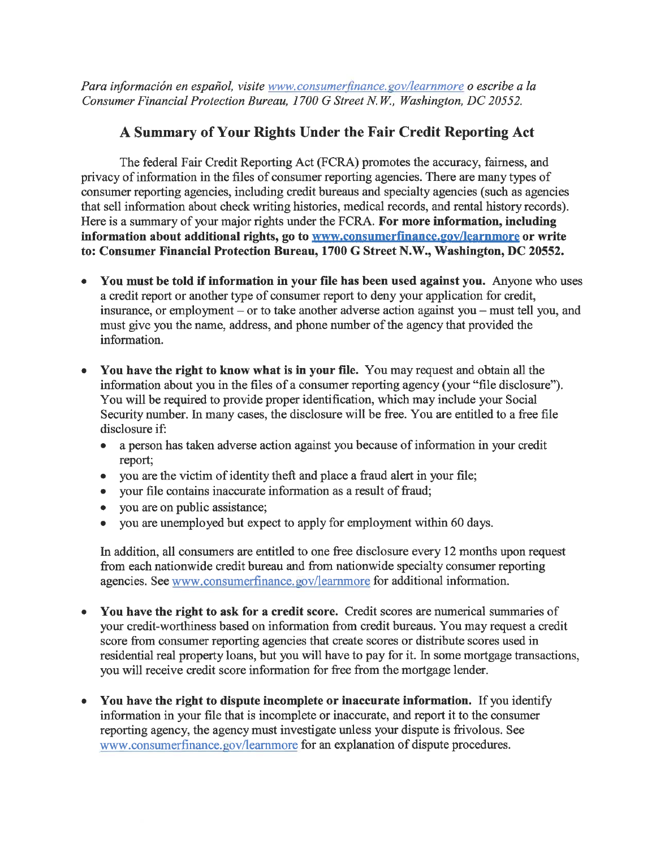Para información en español, visite www.consumerfinance.gov/learnmore o escribe a la Consumer Financial Protection Bureau, 1700 G Street N.W., Washington, DC 20552.

# A Summary of Your Rights Under the Fair Credit Reporting Act

The federal Fair Credit Reporting Act (FCRA) promotes the accuracy, fairness, and privacy of information in the files of consumer reporting agencies. There are many types of consumer reporting agencies, including credit bureaus and specialty agencies (such as agencies that sell information about check writing histories, medical records, and rental history records). Here is a summary of your major rights under the FCRA. For more information, including information about additional rights, go to www.consumerfinance.gov/learnmore or write to: Consumer Financial Protection Bureau, 1700 G Street N.W., Washington, DC 20552.

- You must be told if information in your file has been used against you. Anyone who uses  $\bullet$ a credit report or another type of consumer report to deny your application for credit. insurance, or employment – or to take another adverse action against you – must tell you, and must give you the name, address, and phone number of the agency that provided the information.
- You have the right to know what is in your file. You may request and obtain all the information about you in the files of a consumer reporting agency (your "file disclosure"). You will be required to provide proper identification, which may include your Social Security number. In many cases, the disclosure will be free. You are entitled to a free file disclosure if:
	- a person has taken adverse action against you because of information in your credit  $\bullet$ report;
	- you are the victim of identity theft and place a fraud alert in your file;  $\bullet$
	- your file contains inaccurate information as a result of fraud;  $\bullet$
	- you are on public assistance;  $\bullet$
	- you are unemployed but expect to apply for employment within 60 days.

In addition, all consumers are entitled to one free disclosure every 12 months upon request from each nationwide credit bureau and from nationwide specialty consumer reporting agencies. See www.consumerfinance.gov/learnmore for additional information.

- You have the right to ask for a credit score. Credit scores are numerical summaries of  $\bullet$ your credit-worthiness based on information from credit bureaus. You may request a credit score from consumer reporting agencies that create scores or distribute scores used in residential real property loans, but you will have to pay for it. In some mortgage transactions, you will receive credit score information for free from the mortgage lender.
- You have the right to dispute incomplete or inaccurate information. If you identify information in your file that is incomplete or inaccurate, and report it to the consumer reporting agency, the agency must investigate unless your dispute is frivolous. See www.consumerfinance.gov/learnmore for an explanation of dispute procedures.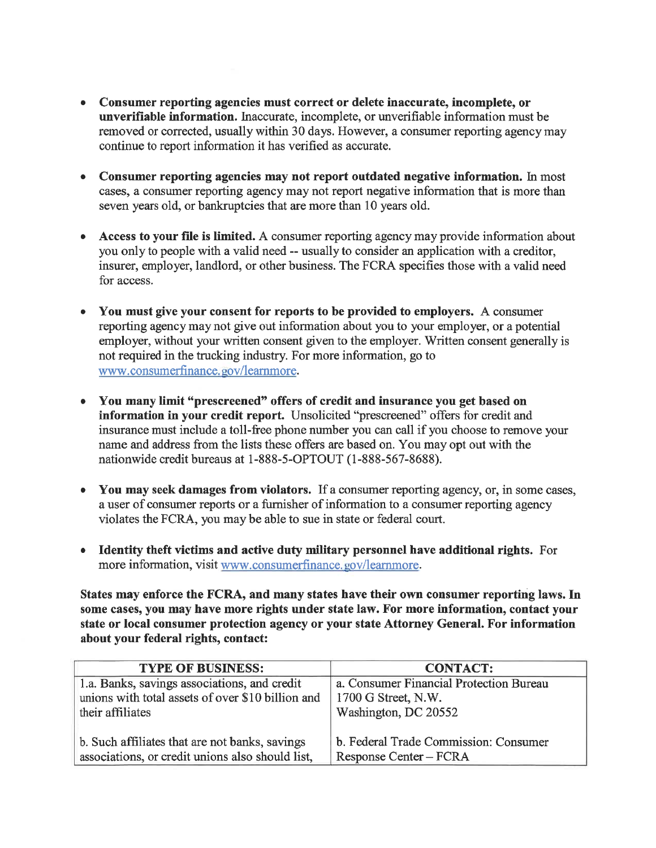- Consumer reporting agencies must correct or delete inaccurate, incomplete, or unverifiable information. Inaccurate, incomplete, or unverifiable information must be removed or corrected, usually within 30 days. However, a consumer reporting agency may continue to report information it has verified as accurate.
- Consumer reporting agencies may not report outdated negative information. In most cases, a consumer reporting agency may not report negative information that is more than seven years old, or bankruptcies that are more than 10 years old.
- **Access to your file is limited.** A consumer reporting agency may provide information about you only to people with a valid need -- usually to consider an application with a creditor, insurer, employer, landlord, or other business. The FCRA specifies those with a valid need for access.
- You must give your consent for reports to be provided to employers. A consumer reporting agency may not give out information about you to your employer, or a potential employer, without your written consent given to the employer. Written consent generally is not required in the trucking industry. For more information, go to www.consumerfinance.gov/learnmore.
- You many limit "prescreened" offers of credit and insurance you get based on information in your credit report. Unsolicited "prescreened" offers for credit and insurance must include a toll-free phone number you can call if you choose to remove your name and address from the lists these offers are based on. You may opt out with the nationwide credit bureaus at 1-888-5-OPTOUT (1-888-567-8688).
- You may seek damages from violators. If a consumer reporting agency, or, in some cases, a user of consumer reports or a furnisher of information to a consumer reporting agency violates the FCRA, you may be able to sue in state or federal court.
- Identity theft victims and active duty military personnel have additional rights. For more information, visit www.consumerfinance.gov/learnmore.

States may enforce the FCRA, and many states have their own consumer reporting laws. In some cases, you may have more rights under state law. For more information, contact your state or local consumer protection agency or your state Attorney General. For information about your federal rights, contact:

| <b>TYPE OF BUSINESS:</b>                          | <b>CONTACT:</b>                         |
|---------------------------------------------------|-----------------------------------------|
| 1.a. Banks, savings associations, and credit      | a. Consumer Financial Protection Bureau |
| unions with total assets of over \$10 billion and | 1700 G Street, N.W.                     |
| their affiliates                                  | Washington, DC 20552                    |
|                                                   |                                         |
| b. Such affiliates that are not banks, savings    | b. Federal Trade Commission: Consumer   |
| associations, or credit unions also should list,  | Response Center - FCRA                  |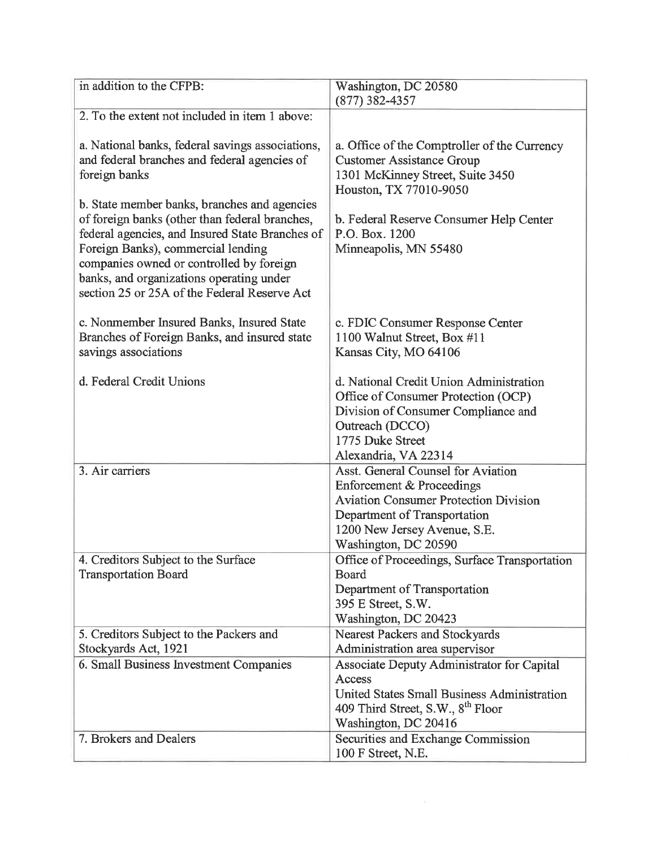| in addition to the CFPB:                                                                                                                                                                                                                                                                                                                                                                                                                             | Washington, DC 20580<br>(877) 382-4357                                                                                                                                                                                               |
|------------------------------------------------------------------------------------------------------------------------------------------------------------------------------------------------------------------------------------------------------------------------------------------------------------------------------------------------------------------------------------------------------------------------------------------------------|--------------------------------------------------------------------------------------------------------------------------------------------------------------------------------------------------------------------------------------|
| 2. To the extent not included in item 1 above:                                                                                                                                                                                                                                                                                                                                                                                                       |                                                                                                                                                                                                                                      |
| a. National banks, federal savings associations,<br>and federal branches and federal agencies of<br>foreign banks<br>b. State member banks, branches and agencies<br>of foreign banks (other than federal branches,<br>federal agencies, and Insured State Branches of<br>Foreign Banks), commercial lending<br>companies owned or controlled by foreign<br>banks, and organizations operating under<br>section 25 or 25A of the Federal Reserve Act | a. Office of the Comptroller of the Currency<br><b>Customer Assistance Group</b><br>1301 McKinney Street, Suite 3450<br>Houston, TX 77010-9050<br>b. Federal Reserve Consumer Help Center<br>P.O. Box. 1200<br>Minneapolis, MN 55480 |
| c. Nonmember Insured Banks, Insured State<br>Branches of Foreign Banks, and insured state<br>savings associations                                                                                                                                                                                                                                                                                                                                    | c. FDIC Consumer Response Center<br>1100 Walnut Street, Box #11<br>Kansas City, MO 64106                                                                                                                                             |
| d. Federal Credit Unions                                                                                                                                                                                                                                                                                                                                                                                                                             | d. National Credit Union Administration<br>Office of Consumer Protection (OCP)<br>Division of Consumer Compliance and<br>Outreach (DCCO)<br>1775 Duke Street<br>Alexandria, VA 22314                                                 |
| 3. Air carriers                                                                                                                                                                                                                                                                                                                                                                                                                                      | Asst. General Counsel for Aviation<br>Enforcement & Proceedings<br><b>Aviation Consumer Protection Division</b><br>Department of Transportation<br>1200 New Jersey Avenue, S.E.<br>Washington, DC 20590                              |
| 4. Creditors Subject to the Surface<br><b>Transportation Board</b>                                                                                                                                                                                                                                                                                                                                                                                   | Office of Proceedings, Surface Transportation<br>Board<br>Department of Transportation<br>395 E Street, S.W.<br>Washington, DC 20423                                                                                                 |
| 5. Creditors Subject to the Packers and<br>Stockyards Act, 1921                                                                                                                                                                                                                                                                                                                                                                                      | Nearest Packers and Stockyards<br>Administration area supervisor                                                                                                                                                                     |
| 6. Small Business Investment Companies                                                                                                                                                                                                                                                                                                                                                                                                               | Associate Deputy Administrator for Capital<br>Access<br>United States Small Business Administration<br>409 Third Street, S.W., 8 <sup>th</sup> Floor<br>Washington, DC 20416                                                         |
| 7. Brokers and Dealers                                                                                                                                                                                                                                                                                                                                                                                                                               | Securities and Exchange Commission<br>100 F Street, N.E.                                                                                                                                                                             |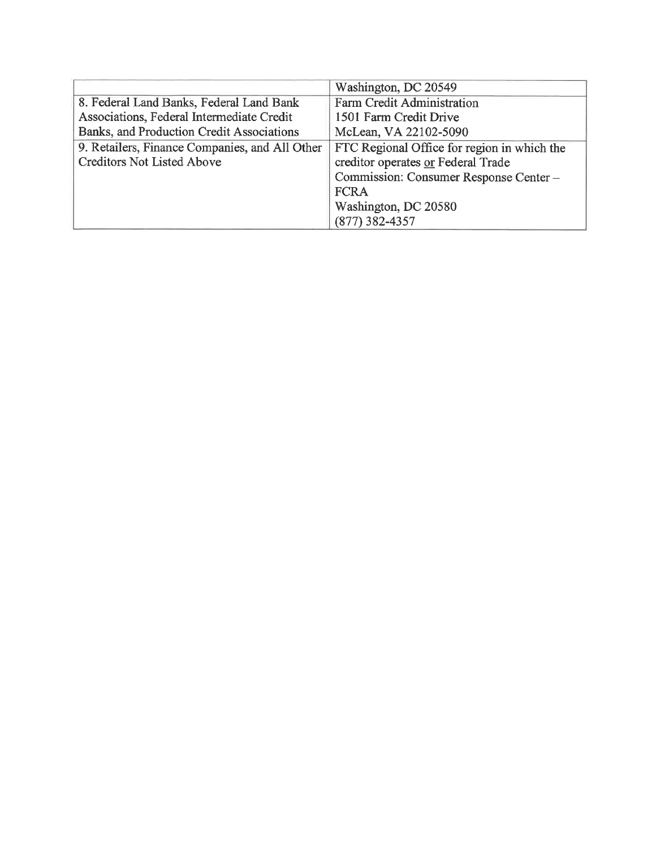|                                                | Washington, DC 20549                        |
|------------------------------------------------|---------------------------------------------|
| 8. Federal Land Banks, Federal Land Bank       | Farm Credit Administration                  |
| Associations, Federal Intermediate Credit      | 1501 Farm Credit Drive                      |
| Banks, and Production Credit Associations      | McLean, VA 22102-5090                       |
| 9. Retailers, Finance Companies, and All Other | FTC Regional Office for region in which the |
| <b>Creditors Not Listed Above</b>              | creditor operates or Federal Trade          |
|                                                | Commission: Consumer Response Center -      |
|                                                | <b>FCRA</b>                                 |
|                                                | Washington, DC 20580                        |
|                                                | $(877)$ 382-4357                            |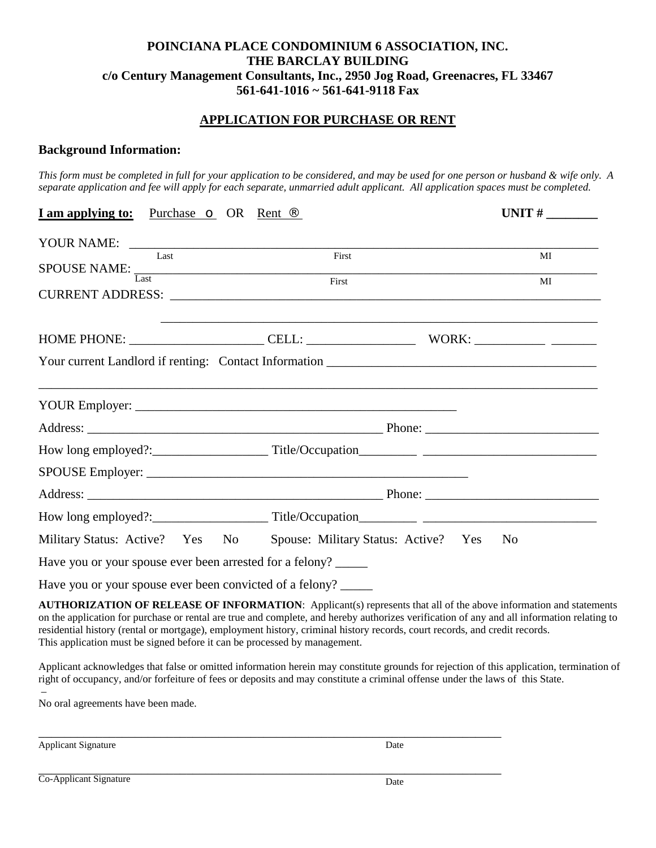#### POINCIANA PLACE CONDOMINIUM 6 ASSOCIATION, INC. THE BARCLAY BUILDING c/o Century Management Consultants, Inc., 2950 Jog Road, Greenacres, FL 33467 561-641-1016 ~ 561-641-9118 Fax

#### **APPLICATION FOR PURCHASE OR RENT**

#### **Background Information:**

This form must be completed in full for your application to be considered, and may be used for one person or husband & wife only. A separate application and fee will apply for each separate, unmarried adult applicant. All application spaces must be completed.

| <b>I am applying to:</b> Purchase O OR Rent                                                                                                                                                             |                                                 | UNIT $#$                                                                                                                                                                                                                                                        |
|---------------------------------------------------------------------------------------------------------------------------------------------------------------------------------------------------------|-------------------------------------------------|-----------------------------------------------------------------------------------------------------------------------------------------------------------------------------------------------------------------------------------------------------------------|
| YOUR NAME:                                                                                                                                                                                              |                                                 |                                                                                                                                                                                                                                                                 |
| Last                                                                                                                                                                                                    | First                                           | MI                                                                                                                                                                                                                                                              |
| $SPOUS E NAME:$ $\frac{1}{\text{Last}}$ First<br>CURRENT ADDRESS:                                                                                                                                       | $\overline{\text{First}}$                       | MI                                                                                                                                                                                                                                                              |
|                                                                                                                                                                                                         |                                                 |                                                                                                                                                                                                                                                                 |
|                                                                                                                                                                                                         |                                                 |                                                                                                                                                                                                                                                                 |
|                                                                                                                                                                                                         |                                                 |                                                                                                                                                                                                                                                                 |
|                                                                                                                                                                                                         |                                                 |                                                                                                                                                                                                                                                                 |
|                                                                                                                                                                                                         |                                                 |                                                                                                                                                                                                                                                                 |
|                                                                                                                                                                                                         |                                                 |                                                                                                                                                                                                                                                                 |
|                                                                                                                                                                                                         |                                                 |                                                                                                                                                                                                                                                                 |
|                                                                                                                                                                                                         |                                                 |                                                                                                                                                                                                                                                                 |
|                                                                                                                                                                                                         |                                                 |                                                                                                                                                                                                                                                                 |
| Military Status: Active? € Yes $\in$ No                                                                                                                                                                 | Spouse: Military Status: Active? € Yes $\in$ No |                                                                                                                                                                                                                                                                 |
| Have you or your spouse ever been arrested for a felony?                                                                                                                                                |                                                 |                                                                                                                                                                                                                                                                 |
| Have you or your spouse ever been convicted of a felony?                                                                                                                                                |                                                 |                                                                                                                                                                                                                                                                 |
| residential history (rental or mortgage), employment history, criminal history records, court records, and credit records.<br>This application must be signed before it can be processed by management. |                                                 | AUTHORIZATION OF RELEASE OF INFORMATION: Applicant(s) represents that all of the above information and statements<br>on the application for purchase or rental are true and complete, and hereby authorizes verification of any and all information relating to |
|                                                                                                                                                                                                         |                                                 | Applicant acknowledges that false or omitted information herein may constitute grounds for rejection of this application, termination or                                                                                                                        |

on of right of occupancy, and/or forfeiture of fees or deposits and may constitute a criminal offense under the laws of this State.

No oral agreements have been made.

**Applicant Signature** 

Date

Co-Applicant Signature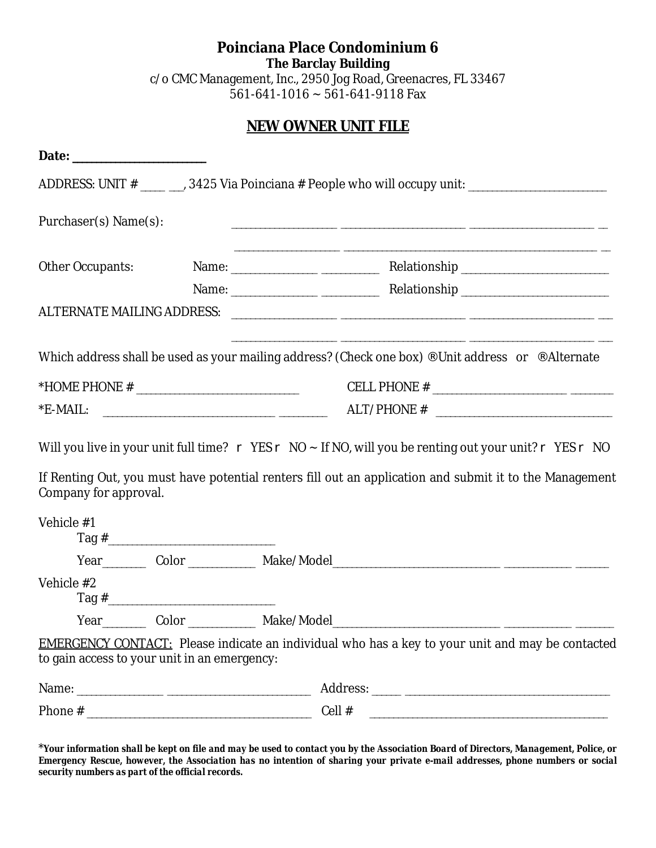**Poinciana Place Condominium 6 The Barclay Building** c/o CMC Management, Inc., 2950 Jog Road, Greenacres, FL 33467  $561 - 641 - 1016 \sim 561 - 641 - 9118$  Fax

# **NEW OWNER UNIT FILE**

|                                            |                                                   | ADDRESS: UNIT # ____ __, 3425 Via Poinciana # People who will occupy unit: _________________________    |
|--------------------------------------------|---------------------------------------------------|---------------------------------------------------------------------------------------------------------|
| <b>Purchaser(s) Name(s):</b>               |                                                   |                                                                                                         |
| <b>Other Occupants:</b>                    |                                                   |                                                                                                         |
|                                            |                                                   |                                                                                                         |
|                                            |                                                   |                                                                                                         |
|                                            |                                                   | Which address shall be used as your mailing address? (Check one box) Tunit address or Talternate        |
|                                            |                                                   |                                                                                                         |
|                                            |                                                   |                                                                                                         |
| <b>Company for approval.</b><br>Vehicle #1 |                                                   | If Renting Out, you must have potential renters fill out an application and submit it to the Management |
|                                            | Tag#                                              |                                                                                                         |
|                                            |                                                   |                                                                                                         |
| Vehicle #2                                 |                                                   |                                                                                                         |
|                                            | Year___________ Color _______________ Make/Model_ |                                                                                                         |
|                                            | to gain access to your unit in an emergency:      | <b>EMERGENCY CONTACT:</b> Please indicate an individual who has a key to your unit and may be contacted |
|                                            |                                                   |                                                                                                         |
|                                            |                                                   |                                                                                                         |
|                                            |                                                   |                                                                                                         |

\* Your information shall be kept on file and may be used to contact you by the Association Board of Directors, Management, Police, or Emergency Rescue, however, the Association has no intention of sharing your private e-mail addresses, phone numbers or social security numbers as part of the official records.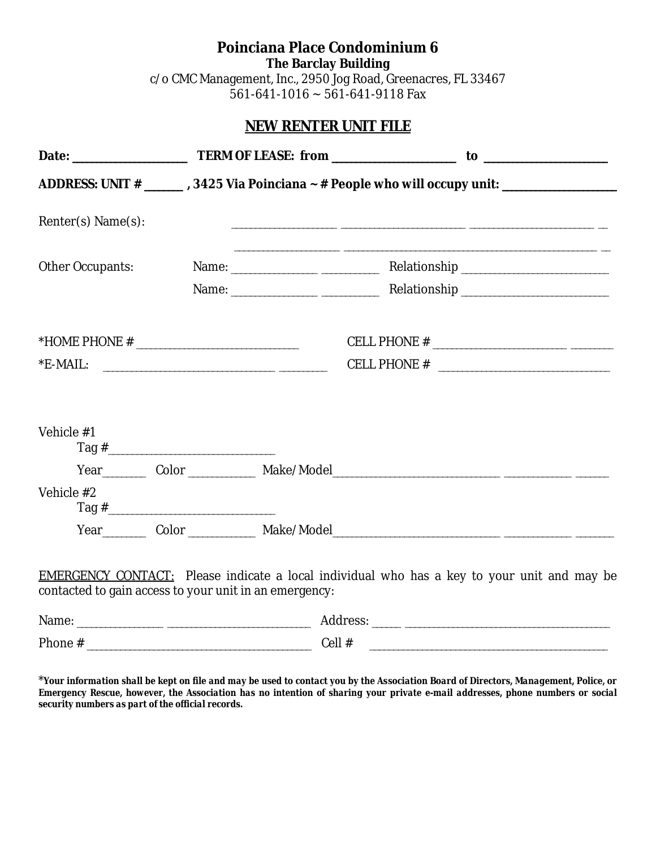**Poinciana Place Condominium 6 The Barclay Building** c/o CMC Management, Inc., 2950 Jog Road, Greenacres, FL 33467  $561 - 641 - 1016 \sim 561 - 641 - 9118$  Fax

# **NEW RENTER UNIT FILE**

|                                                        |  | ADDRESS: UNIT # _______ , 3425 Via Poinciana ~ # People who will occupy unit: ______________________ |  |
|--------------------------------------------------------|--|------------------------------------------------------------------------------------------------------|--|
| Renter(s) Name(s):                                     |  |                                                                                                      |  |
| <b>Other Occupants:</b>                                |  |                                                                                                      |  |
|                                                        |  |                                                                                                      |  |
|                                                        |  |                                                                                                      |  |
|                                                        |  |                                                                                                      |  |
|                                                        |  |                                                                                                      |  |
| Vehicle #1                                             |  |                                                                                                      |  |
|                                                        |  |                                                                                                      |  |
| Vehicle #2                                             |  |                                                                                                      |  |
|                                                        |  |                                                                                                      |  |
| contacted to gain access to your unit in an emergency: |  | <b>EMERGENCY CONTACT:</b> Please indicate a local individual who has a key to your unit and may be   |  |
|                                                        |  |                                                                                                      |  |
|                                                        |  |                                                                                                      |  |

\* Your information shall be kept on file and may be used to contact you by the Association Board of Directors, Management, Police, or Emergency Rescue, however, the Association has no intention of sharing your private e-mail addresses, phone numbers or social security numbers as part of the official records.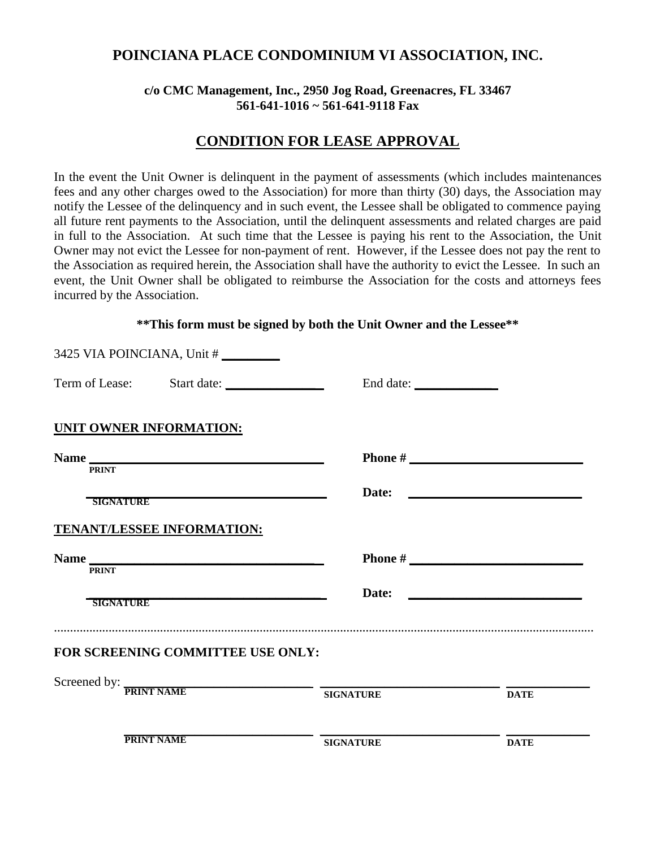# POINCIANA PLACE CONDOMINIUM VI ASSOCIATION, INC.

### c/o CMC Management, Inc., 2950 Jog Road, Greenacres, FL 33467  $561-641-1016 \sim 561-641-9118$  Fax

# **CONDITION FOR LEASE APPROVAL**

In the event the Unit Owner is delinquent in the payment of assessments (which includes maintenances fees and any other charges owed to the Association) for more than thirty (30) days, the Association may notify the Lessee of the delinguency and in such event, the Lessee shall be obligated to commence paying all future rent payments to the Association, until the delinquent assessments and related charges are paid in full to the Association. At such time that the Lessee is paying his rent to the Association, the Unit Owner may not evict the Lessee for non-payment of rent. However, if the Lessee does not pay the rent to the Association as required herein, the Association shall have the authority to evict the Lessee. In such an event, the Unit Owner shall be obligated to reimburse the Association for the costs and attorneys fees incurred by the Association.

#### \*\* This form must be signed by both the Unit Owner and the Lessee\*\*

| 3425 VIA POINCIANA, Unit #                                                                                                                                                                                                                     |                  |             |
|------------------------------------------------------------------------------------------------------------------------------------------------------------------------------------------------------------------------------------------------|------------------|-------------|
|                                                                                                                                                                                                                                                |                  |             |
| <b>UNIT OWNER INFORMATION:</b>                                                                                                                                                                                                                 |                  |             |
| Name and the state of the state of the state of the state of the state of the state of the state of the state of the state of the state of the state of the state of the state of the state of the state of the state of the s<br><b>PRINT</b> |                  |             |
| <b>SIGNATURE</b>                                                                                                                                                                                                                               |                  | Date:       |
| <b>TENANT/LESSEE INFORMATION:</b>                                                                                                                                                                                                              |                  |             |
| <b>PRINT</b>                                                                                                                                                                                                                                   |                  |             |
| <b>SIGNATURE</b>                                                                                                                                                                                                                               |                  |             |
| FOR SCREENING COMMITTEE USE ONLY:                                                                                                                                                                                                              |                  |             |
| Screened by: <b>PRINT NAME</b>                                                                                                                                                                                                                 | <b>SIGNATURE</b> | <b>DATE</b> |
| <b>PRINT NAME</b>                                                                                                                                                                                                                              | <b>SIGNATURE</b> | <b>DATE</b> |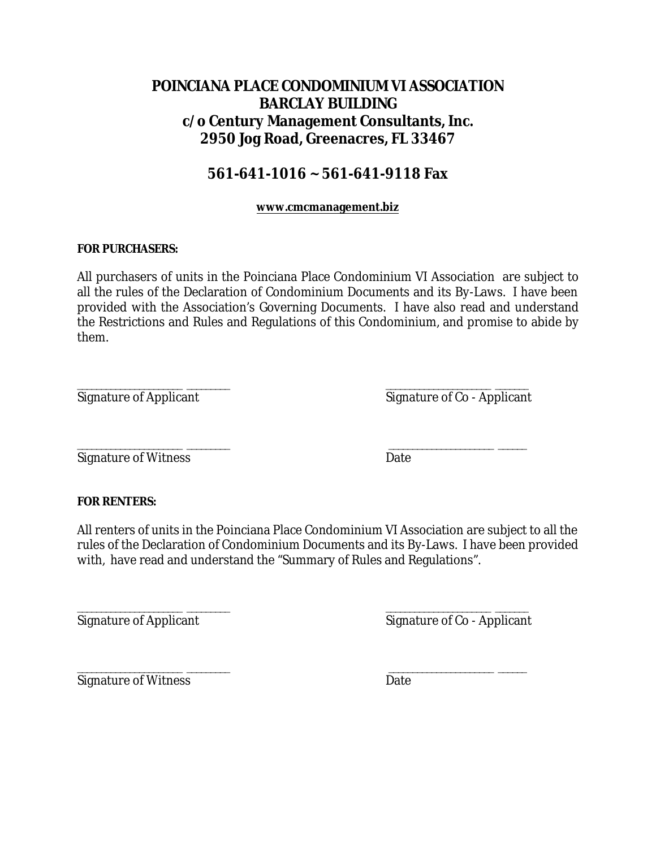# **POINCIANA PLACE CONDOMINIUM VI ASSOCIATION BARCLAY BUILDING** c/o Century Management Consultants, Inc. 2950 Jog Road, Greenacres, FL 33467

# 561-641-1016 ~ 561-641-9118 Fax

#### www.cmcmanagement.biz

#### **FOR PURCHASERS:**

All purchasers of units in the Poinciana Place Condominium VI Association are subject to all the rules of the Declaration of Condominium Documents and its By-Laws. I have been provided with the Association's Governing Documents. I have also read and understand the Restrictions and Rules and Regulations of this Condominium, and promise to abide by them.

**Signature of Applicant** 

**Signature of Co - Applicant** 

**Signature of Witness** 

**FOR RENTERS:** 

All renters of units in the Poinciana Place Condominium VI Association are subject to all the rules of the Declaration of Condominium Documents and its By-Laws. I have been provided with, have read and understand the "Summary of Rules and Regulations".

**Signature of Applicant** 

**Signature of Co - Applicant** 

**Signature of Witness** 

**Date** 

**Date**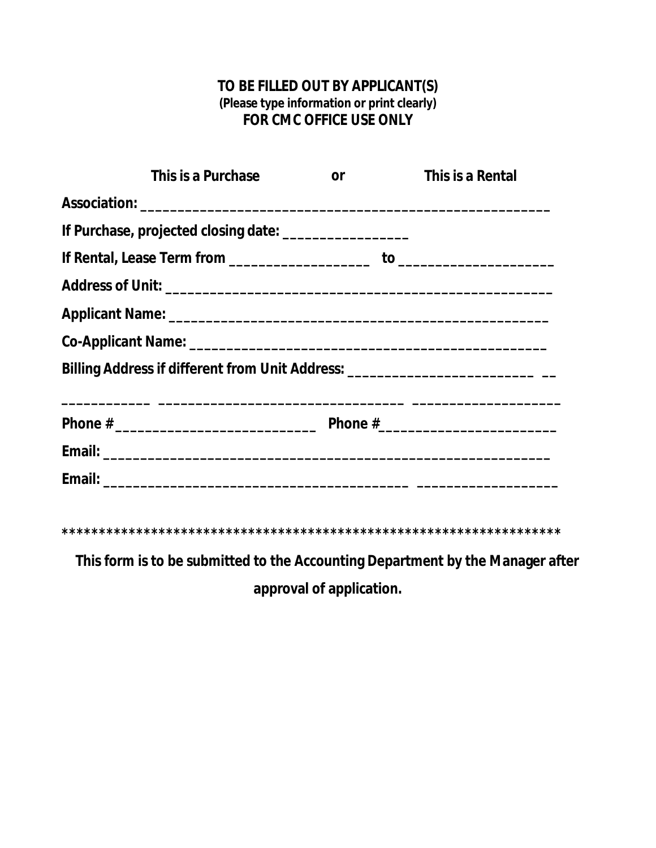# TO BE FILLED OUT BY APPLICANT(S) (Please type information or print clearly) **FOR CMC OFFICE USE ONLY**

| $\ddot{\mathbf{y}}$ This is a Purchase                                                                               | $or$ and $or$ and $or$ and $or$ and $or$ and $or$ and $or$ and $or$ and $or$ and $or$ and $or$ and $or$ and $or$ and $or$ and $or$ and $or$ and $or$ and $or$ and $or$ and $or$ and $or$ and $or$ and $or$ and $or$ and $or$ and $or$ and $or$ and $or$ a | $\ddot{y}$ This is a Rental                                                      |
|----------------------------------------------------------------------------------------------------------------------|-----------------------------------------------------------------------------------------------------------------------------------------------------------------------------------------------------------------------------------------------------------|----------------------------------------------------------------------------------|
|                                                                                                                      |                                                                                                                                                                                                                                                           |                                                                                  |
| If Purchase, projected closing date: ____________________                                                            |                                                                                                                                                                                                                                                           |                                                                                  |
|                                                                                                                      |                                                                                                                                                                                                                                                           |                                                                                  |
|                                                                                                                      |                                                                                                                                                                                                                                                           |                                                                                  |
|                                                                                                                      |                                                                                                                                                                                                                                                           |                                                                                  |
|                                                                                                                      |                                                                                                                                                                                                                                                           |                                                                                  |
|                                                                                                                      |                                                                                                                                                                                                                                                           | Billing Address if different from Unit Address: ________________________________ |
|                                                                                                                      |                                                                                                                                                                                                                                                           |                                                                                  |
|                                                                                                                      |                                                                                                                                                                                                                                                           |                                                                                  |
|                                                                                                                      |                                                                                                                                                                                                                                                           |                                                                                  |
|                                                                                                                      |                                                                                                                                                                                                                                                           |                                                                                  |
|                                                                                                                      |                                                                                                                                                                                                                                                           |                                                                                  |
| المستقاد المستقاد المستقاد المستقادة المستقادة المستقادة المستقادة المستقادة المستقادة المستقادة المستقادة المستقادة |                                                                                                                                                                                                                                                           |                                                                                  |

This form is to be submitted to the Accounting Department by the Manager after approval of application.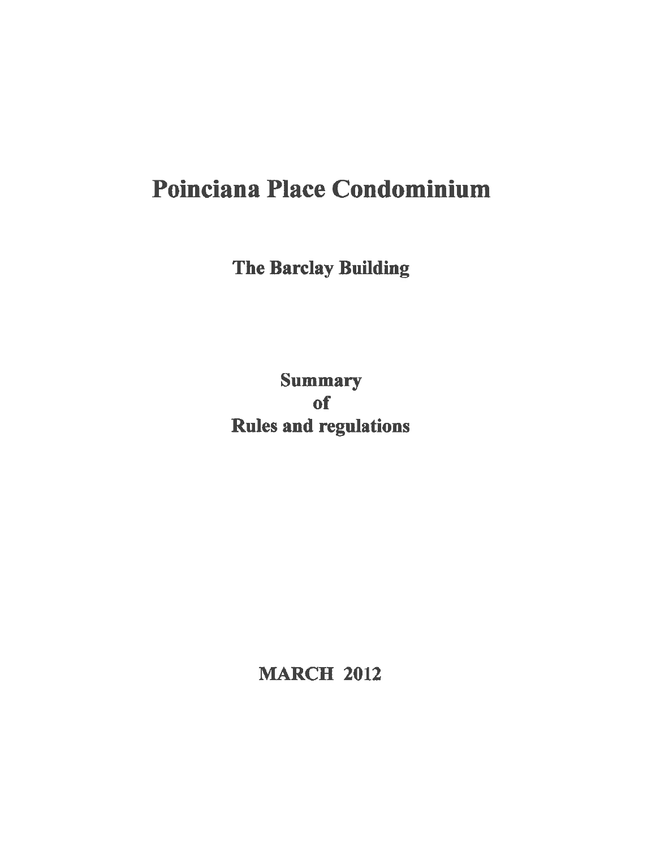# **Poinciana Place Condominium**

**The Barclay Building** 

**Summary of Rules and regulations** 

**MARCH 2012**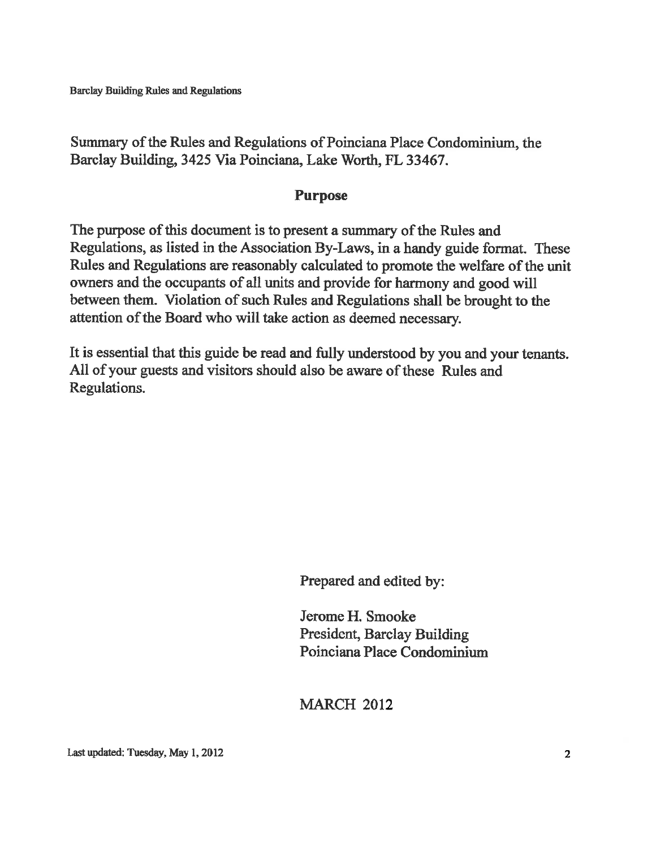**Barclay Building Rules and Regulations** 

Summary of the Rules and Regulations of Poinciana Place Condominium, the Barclay Building, 3425 Via Poinciana, Lake Worth, FL 33467,

## **Purpose**

The purpose of this document is to present a summary of the Rules and Regulations, as listed in the Association By-Laws, in a handy guide format. These Rules and Regulations are reasonably calculated to promote the welfare of the unit owners and the occupants of all units and provide for harmony and good will between them. Violation of such Rules and Regulations shall be brought to the attention of the Board who will take action as deemed necessary.

It is essential that this guide be read and fully understood by you and your tenants. All of your guests and visitors should also be aware of these Rules and Regulations.

Prepared and edited by:

Jerome H. Smooke President, Barclay Building Poinciana Place Condominium

**MARCH 2012**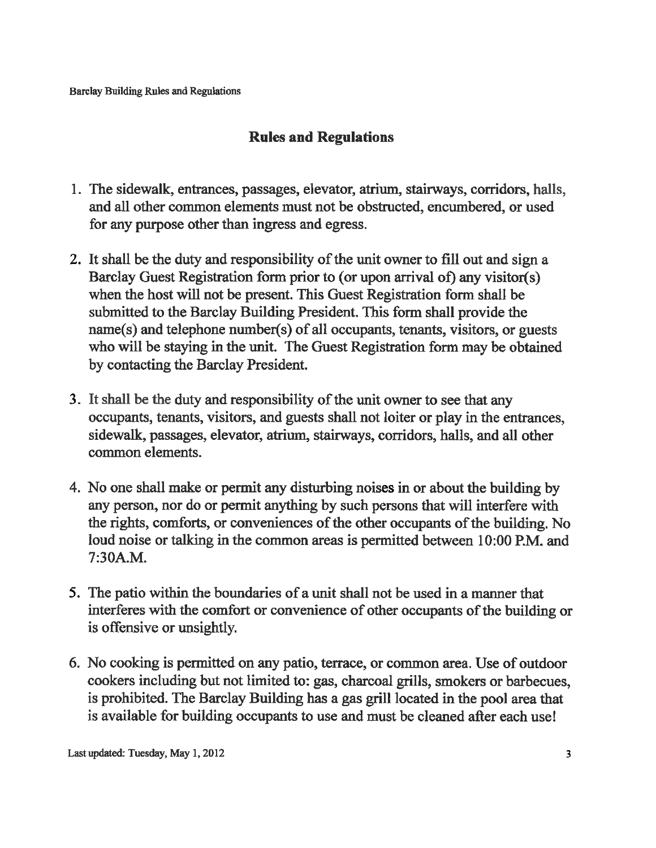**Barclay Building Rules and Regulations** 

# **Rules and Regulations**

- 1. The sidewalk, entrances, passages, elevator, atrium, stairways, corridors, halls, and all other common elements must not be obstructed, encumbered, or used for any purpose other than ingress and egress.
- 2. It shall be the duty and responsibility of the unit owner to fill out and sign a Barclay Guest Registration form prior to (or upon arrival of) any visitor(s) when the host will not be present. This Guest Registration form shall be submitted to the Barclay Building President. This form shall provide the name(s) and telephone number(s) of all occupants, tenants, visitors, or guests who will be staying in the unit. The Guest Registration form may be obtained by contacting the Barclay President.
- 3. It shall be the duty and responsibility of the unit owner to see that any occupants, tenants, visitors, and guests shall not loiter or play in the entrances, sidewalk, passages, elevator, atrium, stairways, corridors, halls, and all other common elements.
- 4. No one shall make or permit any disturbing noises in or about the building by any person, nor do or permit anything by such persons that will interfere with the rights, comforts, or conveniences of the other occupants of the building. No loud noise or talking in the common areas is permitted between 10:00 P.M. and 7:30A.M.
- 5. The patio within the boundaries of a unit shall not be used in a manner that interferes with the comfort or convenience of other occupants of the building or is offensive or unsightly.
- 6. No cooking is permitted on any patio, terrace, or common area. Use of outdoor cookers including but not limited to: gas, charcoal grills, smokers or barbecues, is prohibited. The Barclay Building has a gas grill located in the pool area that is available for building occupants to use and must be cleaned after each use!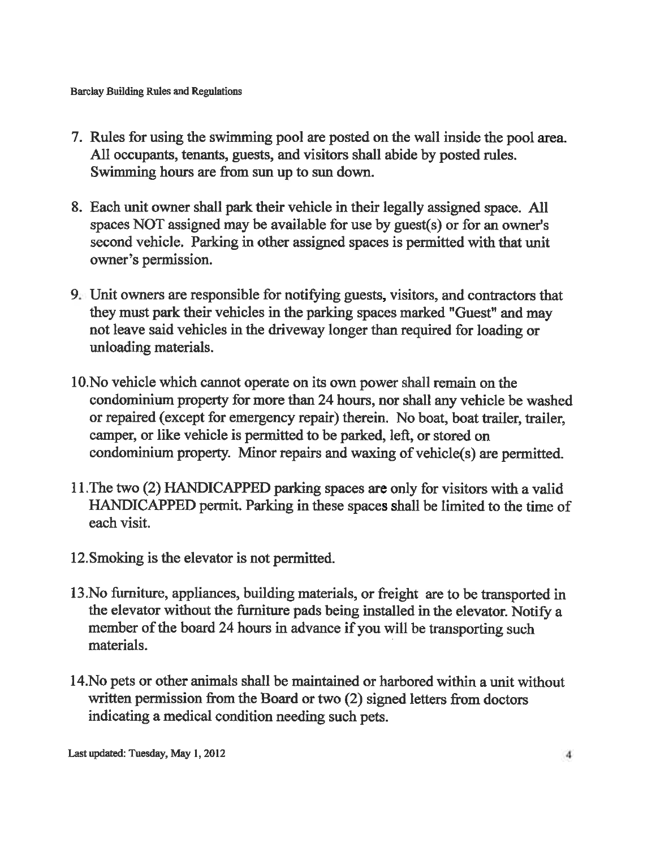- 7. Rules for using the swimming pool are posted on the wall inside the pool area. All occupants, tenants, guests, and visitors shall abide by posted rules. Swimming hours are from sun up to sun down.
- 8. Each unit owner shall park their vehicle in their legally assigned space. All spaces NOT assigned may be available for use by guest(s) or for an owner's second vehicle. Parking in other assigned spaces is permitted with that unit owner's permission.
- 9. Unit owners are responsible for notifying guests, visitors, and contractors that they must park their vehicles in the parking spaces marked "Guest" and may not leave said vehicles in the driveway longer than required for loading or unloading materials.
- 10. No vehicle which cannot operate on its own power shall remain on the condominium property for more than 24 hours, nor shall any vehicle be washed or repaired (except for emergency repair) therein. No boat, boat trailer, trailer, camper, or like vehicle is permitted to be parked, left, or stored on condominium property. Minor repairs and waxing of vehicle(s) are permitted.
- 11. The two (2) HANDICAPPED parking spaces are only for visitors with a valid HANDICAPPED permit. Parking in these spaces shall be limited to the time of each visit.
- 12. Smoking is the elevator is not permitted.
- 13. No furniture, appliances, building materials, or freight are to be transported in the elevator without the furniture pads being installed in the elevator. Notify a member of the board 24 hours in advance if you will be transporting such materials.
- 14. No pets or other animals shall be maintained or harbored within a unit without written permission from the Board or two (2) signed letters from doctors indicating a medical condition needing such pets.

Last updated: Tuesday, May 1, 2012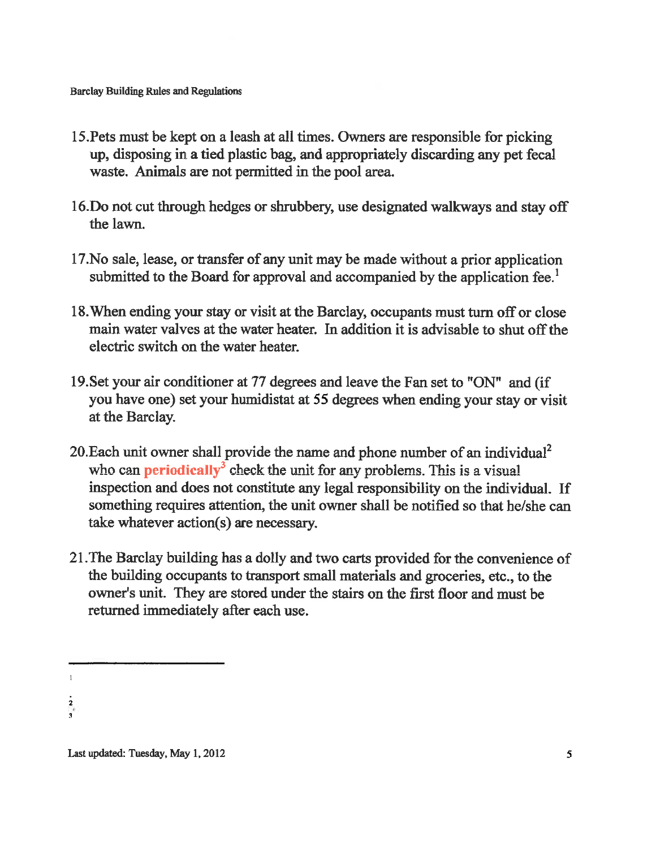- 15. Pets must be kept on a leash at all times. Owners are responsible for picking up, disposing in a tied plastic bag, and appropriately discarding any pet fecal waste. Animals are not permitted in the pool area.
- 16. Do not cut through hedges or shrubbery, use designated walkways and stay off the lawn.
- 17. No sale, lease, or transfer of any unit may be made without a prior application submitted to the Board for approval and accompanied by the application fee.<sup>1</sup>
- 18. When ending your stay or visit at the Barclay, occupants must turn off or close main water valves at the water heater. In addition it is advisable to shut off the electric switch on the water heater.
- 19. Set your air conditioner at 77 degrees and leave the Fan set to "ON" and (if you have one) set your humidistat at 55 degrees when ending your stay or visit at the Barclay.
- 20. Each unit owner shall provide the name and phone number of an individual<sup>2</sup> who can **periodically**<sup>3</sup> check the unit for any problems. This is a visual inspection and does not constitute any legal responsibility on the individual. If something requires attention, the unit owner shall be notified so that he/she can take whatever action(s) are necessary.
- 21. The Barclay building has a dolly and two carts provided for the convenience of the building occupants to transport small materials and groceries, etc., to the owner's unit. They are stored under the stairs on the first floor and must be returned immediately after each use.

 $\mathbf 1$ 

 $\frac{1}{2}$